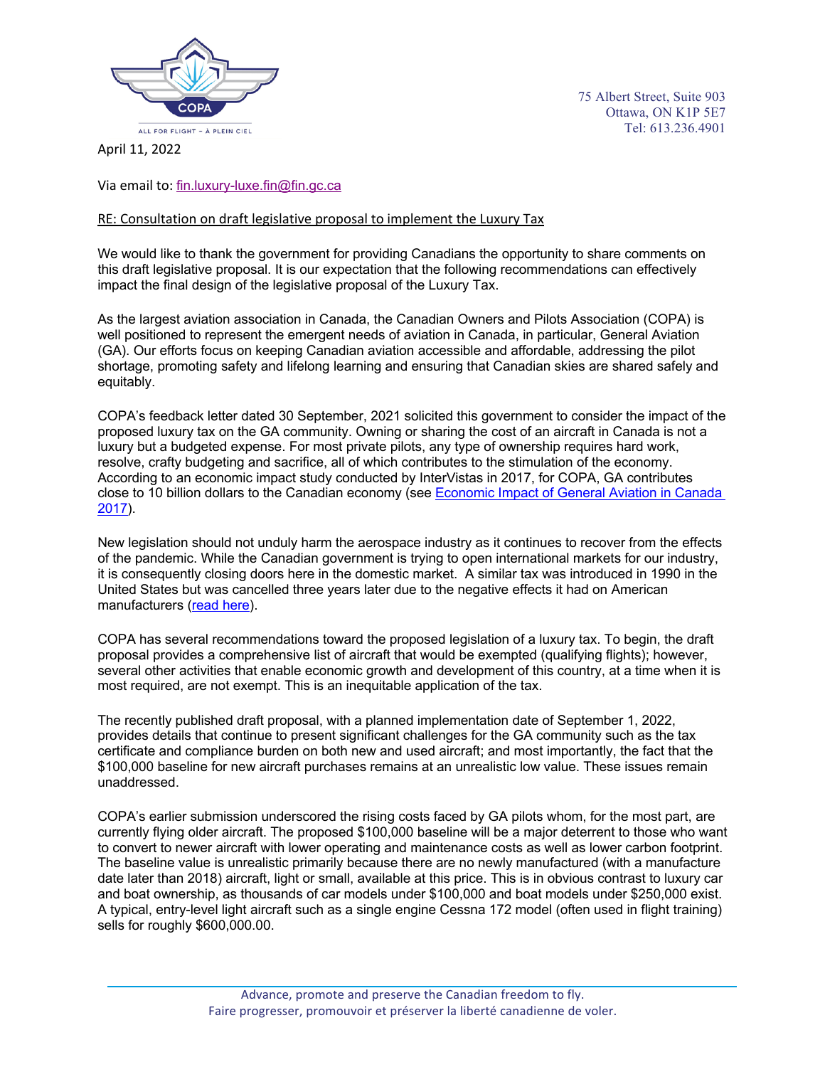

75 Albert Street, Suite 903 Ottawa, ON K1P 5E7 Tel: 613.236.4901

April 11, 2022

Via email to: fin.luxury-luxe.fin@fin.gc.ca

# RE: Consultation on draft legislative proposal to implement the Luxury Tax

We would like to thank the government for providing Canadians the opportunity to share comments on this draft legislative proposal. It is our expectation that the following recommendations can effectively impact the final design of the legislative proposal of the Luxury Tax.

As the largest aviation association in Canada, the Canadian Owners and Pilots Association (COPA) is well positioned to represent the emergent needs of aviation in Canada, in particular, General Aviation (GA). Our efforts focus on keeping Canadian aviation accessible and affordable, addressing the pilot shortage, promoting safety and lifelong learning and ensuring that Canadian skies are shared safely and equitably.

COPA's feedback letter dated 30 September, 2021 solicited this government to consider the impact of the proposed luxury tax on the GA community. Owning or sharing the cost of an aircraft in Canada is not a luxury but a budgeted expense. For most private pilots, any type of ownership requires hard work, resolve, crafty budgeting and sacrifice, all of which contributes to the stimulation of the economy. According to an economic impact study conducted by InterVistas in 2017, for COPA, GA contributes close to 10 billion dollars to the Canadian economy (see Economic Impact of General Aviation in Canada 2017).

New legislation should not unduly harm the aerospace industry as it continues to recover from the effects of the pandemic. While the Canadian government is trying to open international markets for our industry, it is consequently closing doors here in the domestic market. A similar tax was introduced in 1990 in the United States but was cancelled three years later due to the negative effects it had on American manufacturers (read here).

COPA has several recommendations toward the proposed legislation of a luxury tax. To begin, the draft proposal provides a comprehensive list of aircraft that would be exempted (qualifying flights); however, several other activities that enable economic growth and development of this country, at a time when it is most required, are not exempt. This is an inequitable application of the tax.

The recently published draft proposal, with a planned implementation date of September 1, 2022, provides details that continue to present significant challenges for the GA community such as the tax certificate and compliance burden on both new and used aircraft; and most importantly, the fact that the \$100,000 baseline for new aircraft purchases remains at an unrealistic low value. These issues remain unaddressed.

COPA's earlier submission underscored the rising costs faced by GA pilots whom, for the most part, are currently flying older aircraft. The proposed \$100,000 baseline will be a major deterrent to those who want to convert to newer aircraft with lower operating and maintenance costs as well as lower carbon footprint. The baseline value is unrealistic primarily because there are no newly manufactured (with a manufacture date later than 2018) aircraft, light or small, available at this price. This is in obvious contrast to luxury car and boat ownership, as thousands of car models under \$100,000 and boat models under \$250,000 exist. A typical, entry-level light aircraft such as a single engine Cessna 172 model (often used in flight training) sells for roughly \$600,000.00.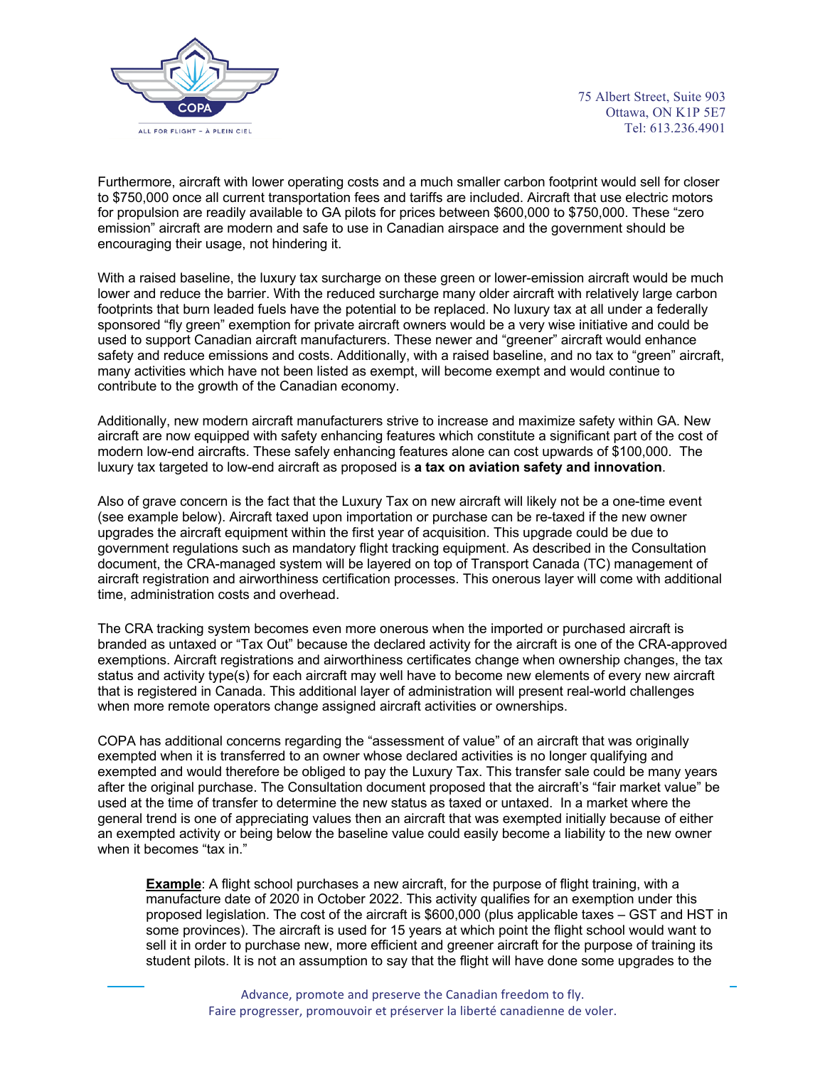

75 Albert Street, Suite 903 Ottawa, ON K1P 5E7 Tel: 613.236.4901

Furthermore, aircraft with lower operating costs and a much smaller carbon footprint would sell for closer to \$750,000 once all current transportation fees and tariffs are included. Aircraft that use electric motors for propulsion are readily available to GA pilots for prices between \$600,000 to \$750,000. These "zero emission" aircraft are modern and safe to use in Canadian airspace and the government should be encouraging their usage, not hindering it.

With a raised baseline, the luxury tax surcharge on these green or lower-emission aircraft would be much lower and reduce the barrier. With the reduced surcharge many older aircraft with relatively large carbon footprints that burn leaded fuels have the potential to be replaced. No luxury tax at all under a federally sponsored "fly green" exemption for private aircraft owners would be a very wise initiative and could be used to support Canadian aircraft manufacturers. These newer and "greener" aircraft would enhance safety and reduce emissions and costs. Additionally, with a raised baseline, and no tax to "green" aircraft, many activities which have not been listed as exempt, will become exempt and would continue to contribute to the growth of the Canadian economy.

Additionally, new modern aircraft manufacturers strive to increase and maximize safety within GA. New aircraft are now equipped with safety enhancing features which constitute a significant part of the cost of modern low-end aircrafts. These safely enhancing features alone can cost upwards of \$100,000. The luxury tax targeted to low-end aircraft as proposed is **a tax on aviation safety and innovation**.

Also of grave concern is the fact that the Luxury Tax on new aircraft will likely not be a one-time event (see example below). Aircraft taxed upon importation or purchase can be re-taxed if the new owner upgrades the aircraft equipment within the first year of acquisition. This upgrade could be due to government regulations such as mandatory flight tracking equipment. As described in the Consultation document, the CRA-managed system will be layered on top of Transport Canada (TC) management of aircraft registration and airworthiness certification processes. This onerous layer will come with additional time, administration costs and overhead.

The CRA tracking system becomes even more onerous when the imported or purchased aircraft is branded as untaxed or "Tax Out" because the declared activity for the aircraft is one of the CRA-approved exemptions. Aircraft registrations and airworthiness certificates change when ownership changes, the tax status and activity type(s) for each aircraft may well have to become new elements of every new aircraft that is registered in Canada. This additional layer of administration will present real-world challenges when more remote operators change assigned aircraft activities or ownerships.

COPA has additional concerns regarding the "assessment of value" of an aircraft that was originally exempted when it is transferred to an owner whose declared activities is no longer qualifying and exempted and would therefore be obliged to pay the Luxury Tax. This transfer sale could be many years after the original purchase. The Consultation document proposed that the aircraft's "fair market value" be used at the time of transfer to determine the new status as taxed or untaxed. In a market where the general trend is one of appreciating values then an aircraft that was exempted initially because of either an exempted activity or being below the baseline value could easily become a liability to the new owner when it becomes "tax in."

**Example**: A flight school purchases a new aircraft, for the purpose of flight training, with a manufacture date of 2020 in October 2022. This activity qualifies for an exemption under this proposed legislation. The cost of the aircraft is \$600,000 (plus applicable taxes – GST and HST in some provinces). The aircraft is used for 15 years at which point the flight school would want to sell it in order to purchase new, more efficient and greener aircraft for the purpose of training its student pilots. It is not an assumption to say that the flight will have done some upgrades to the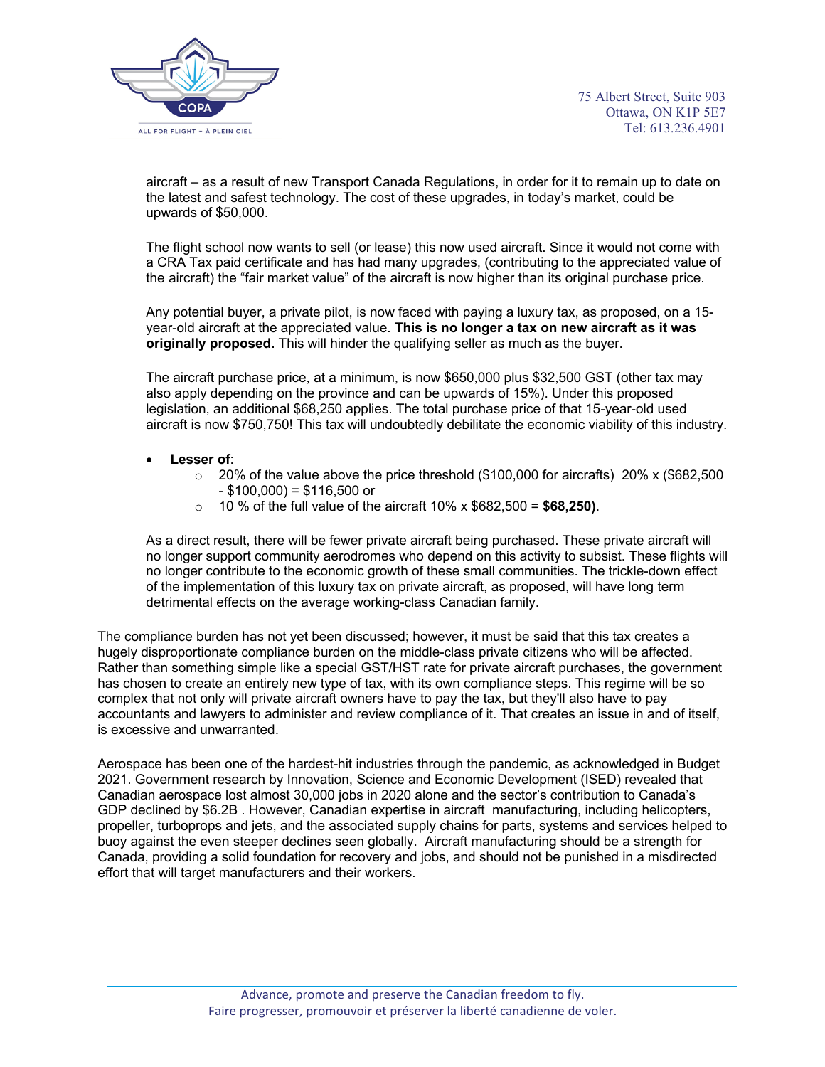

aircraft – as a result of new Transport Canada Regulations, in order for it to remain up to date on the latest and safest technology. The cost of these upgrades, in today's market, could be upwards of \$50,000.

The flight school now wants to sell (or lease) this now used aircraft. Since it would not come with a CRA Tax paid certificate and has had many upgrades, (contributing to the appreciated value of the aircraft) the "fair market value" of the aircraft is now higher than its original purchase price.

Any potential buyer, a private pilot, is now faced with paying a luxury tax, as proposed, on a 15 year-old aircraft at the appreciated value. **This is no longer a tax on new aircraft as it was originally proposed.** This will hinder the qualifying seller as much as the buyer.

The aircraft purchase price, at a minimum, is now \$650,000 plus \$32,500 GST (other tax may also apply depending on the province and can be upwards of 15%). Under this proposed legislation, an additional \$68,250 applies. The total purchase price of that 15-year-old used aircraft is now \$750,750! This tax will undoubtedly debilitate the economic viability of this industry.

#### • **Lesser of**:

- $\degree$  20% of the value above the price threshold (\$100,000 for aircrafts) 20% x (\$682,500  $-$  \$100,000) = \$116,500 or
- o 10 % of the full value of the aircraft 10% x \$682,500 = **\$68,250)**.

As a direct result, there will be fewer private aircraft being purchased. These private aircraft will no longer support community aerodromes who depend on this activity to subsist. These flights will no longer contribute to the economic growth of these small communities. The trickle-down effect of the implementation of this luxury tax on private aircraft, as proposed, will have long term detrimental effects on the average working-class Canadian family.

The compliance burden has not yet been discussed; however, it must be said that this tax creates a hugely disproportionate compliance burden on the middle-class private citizens who will be affected. Rather than something simple like a special GST/HST rate for private aircraft purchases, the government has chosen to create an entirely new type of tax, with its own compliance steps. This regime will be so complex that not only will private aircraft owners have to pay the tax, but they'll also have to pay accountants and lawyers to administer and review compliance of it. That creates an issue in and of itself, is excessive and unwarranted.

Aerospace has been one of the hardest-hit industries through the pandemic, as acknowledged in Budget 2021. Government research by Innovation, Science and Economic Development (ISED) revealed that Canadian aerospace lost almost 30,000 jobs in 2020 alone and the sector's contribution to Canada's GDP declined by \$6.2B . However, Canadian expertise in aircraft manufacturing, including helicopters, propeller, turboprops and jets, and the associated supply chains for parts, systems and services helped to buoy against the even steeper declines seen globally. Aircraft manufacturing should be a strength for Canada, providing a solid foundation for recovery and jobs, and should not be punished in a misdirected effort that will target manufacturers and their workers.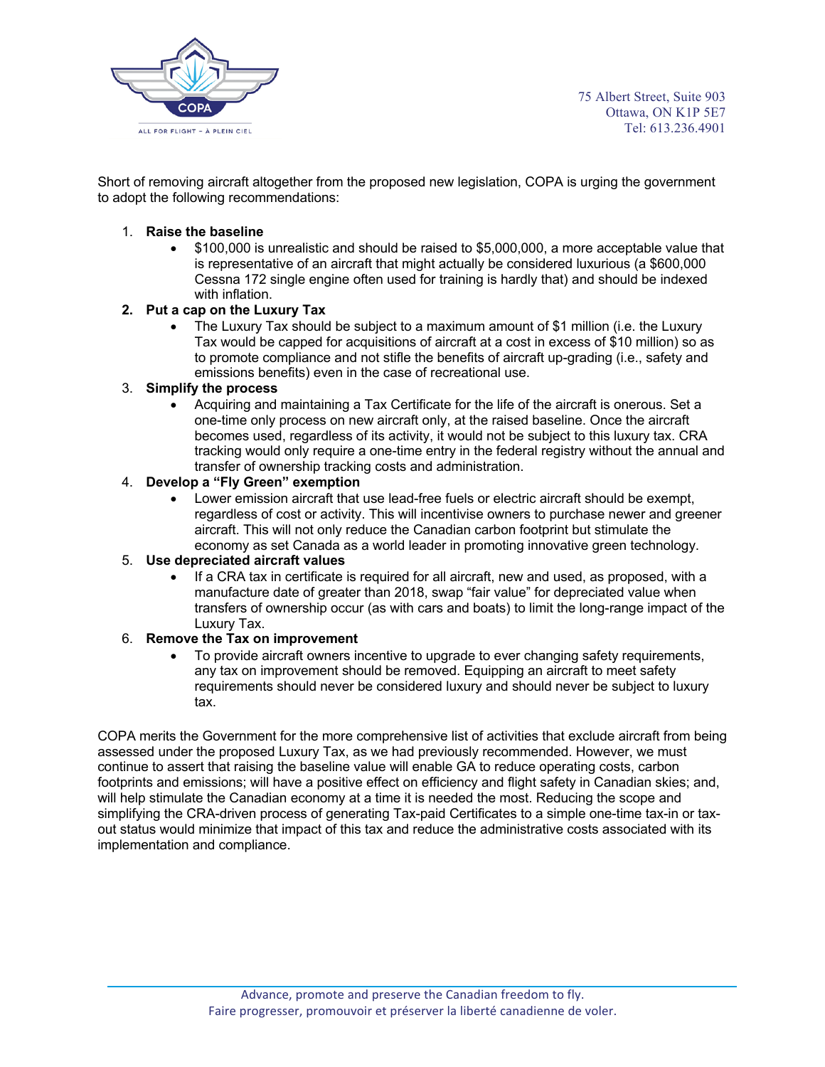

Short of removing aircraft altogether from the proposed new legislation, COPA is urging the government to adopt the following recommendations:

#### 1. **Raise the baseline**

• \$100,000 is unrealistic and should be raised to \$5,000,000, a more acceptable value that is representative of an aircraft that might actually be considered luxurious (a \$600,000 Cessna 172 single engine often used for training is hardly that) and should be indexed with inflation.

#### **2. Put a cap on the Luxury Tax**

• The Luxury Tax should be subject to a maximum amount of \$1 million (i.e. the Luxury Tax would be capped for acquisitions of aircraft at a cost in excess of \$10 million) so as to promote compliance and not stifle the benefits of aircraft up-grading (i.e., safety and emissions benefits) even in the case of recreational use.

#### 3. **Simplify the process**

• Acquiring and maintaining a Tax Certificate for the life of the aircraft is onerous. Set a one-time only process on new aircraft only, at the raised baseline. Once the aircraft becomes used, regardless of its activity, it would not be subject to this luxury tax. CRA tracking would only require a one-time entry in the federal registry without the annual and transfer of ownership tracking costs and administration.

# 4. **Develop a "Fly Green" exemption**

• Lower emission aircraft that use lead-free fuels or electric aircraft should be exempt, regardless of cost or activity. This will incentivise owners to purchase newer and greener aircraft. This will not only reduce the Canadian carbon footprint but stimulate the economy as set Canada as a world leader in promoting innovative green technology.

## 5. **Use depreciated aircraft values**

If a CRA tax in certificate is required for all aircraft, new and used, as proposed, with a manufacture date of greater than 2018, swap "fair value" for depreciated value when transfers of ownership occur (as with cars and boats) to limit the long-range impact of the Luxury Tax.

## 6. **Remove the Tax on improvement**

• To provide aircraft owners incentive to upgrade to ever changing safety requirements, any tax on improvement should be removed. Equipping an aircraft to meet safety requirements should never be considered luxury and should never be subject to luxury tax.

COPA merits the Government for the more comprehensive list of activities that exclude aircraft from being assessed under the proposed Luxury Tax, as we had previously recommended. However, we must continue to assert that raising the baseline value will enable GA to reduce operating costs, carbon footprints and emissions; will have a positive effect on efficiency and flight safety in Canadian skies; and, will help stimulate the Canadian economy at a time it is needed the most. Reducing the scope and simplifying the CRA-driven process of generating Tax-paid Certificates to a simple one-time tax-in or taxout status would minimize that impact of this tax and reduce the administrative costs associated with its implementation and compliance.